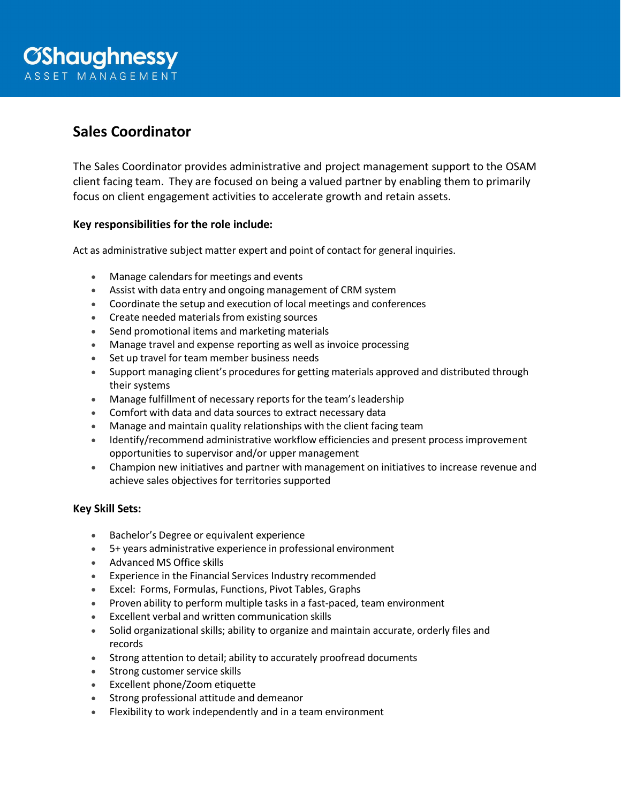# **Sales Coordinator**

The Sales Coordinator provides administrative and project management support to the OSAM client facing team. They are focused on being a valued partner by enabling them to primarily focus on client engagement activities to accelerate growth and retain assets.

# **Key responsibilities for the role include:**

Act as administrative subject matter expert and point of contact for general inquiries.

- Manage calendars for meetings and events
- Assist with data entry and ongoing management of CRM system
- Coordinate the setup and execution of local meetings and conferences
- Create needed materials from existing sources
- Send promotional items and marketing materials
- Manage travel and expense reporting as well as invoice processing
- Set up travel for team member business needs
- Support managing client's procedures for getting materials approved and distributed through their systems
- Manage fulfillment of necessary reports for the team's leadership
- Comfort with data and data sources to extract necessary data
- Manage and maintain quality relationships with the client facing team
- Identify/recommend administrative workflow efficiencies and present process improvement opportunities to supervisor and/or upper management
- Champion new initiatives and partner with management on initiatives to increase revenue and achieve sales objectives for territories supported

## **Key Skill Sets:**

- Bachelor's Degree or equivalent experience
- 5+ years administrative experience in professional environment
- Advanced MS Office skills
- Experience in the Financial Services Industry recommended
- Excel: Forms, Formulas, Functions, Pivot Tables, Graphs
- Proven ability to perform multiple tasks in a fast-paced, team environment
- Excellent verbal and written communication skills
- Solid organizational skills; ability to organize and maintain accurate, orderly files and records
- Strong attention to detail; ability to accurately proofread documents
- Strong customer service skills
- Excellent phone/Zoom etiquette
- Strong professional attitude and demeanor
- Flexibility to work independently and in a team environment